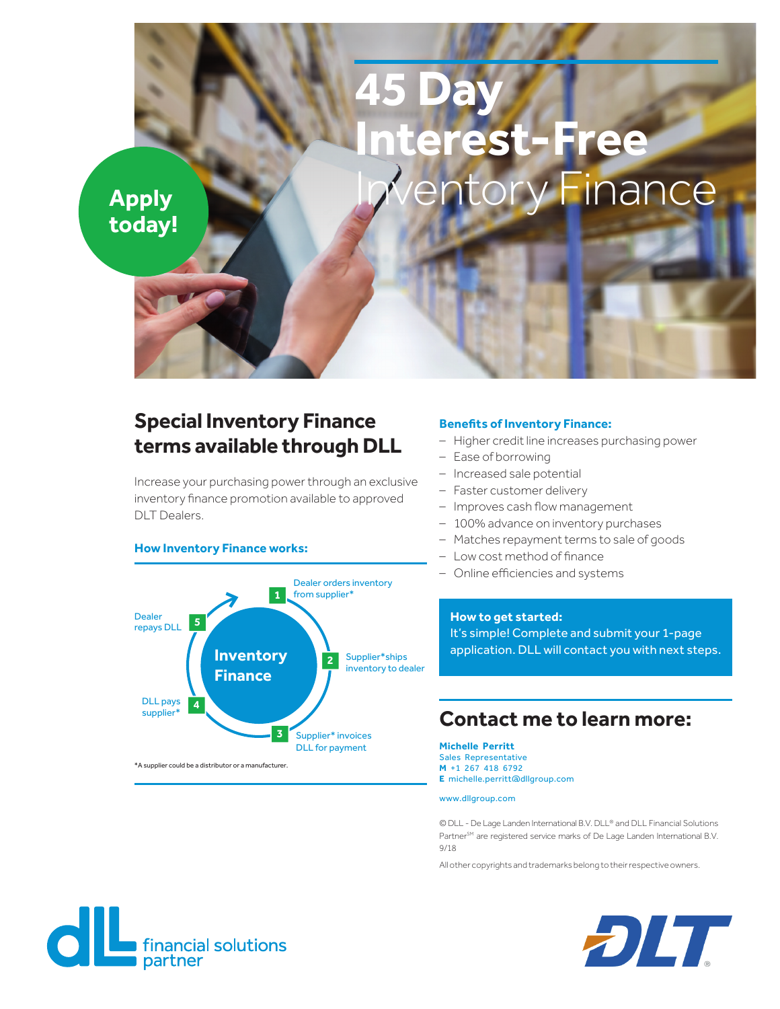# **45 Day erest-Free** Apply **Inventory Finance**

## **today!**

## **Special Inventory Finance terms available through DLL**

Increase your purchasing power through an exclusive inventory finance promotion available to approved DLT Dealers.

#### **How Inventory Finance works:**



#### **Benefits of Inventory Finance:**

- Higher credit line increases purchasing power
- Ease of borrowing
- Increased sale potential
- Faster customer delivery
- Improves cash flow management
- 100% advance on inventory purchases
- Matches repayment terms to sale of goods
- Low cost method of finance
- Online efficiencies and systems

**How to get started:**  It's simple! Complete and submit your 1-page application. DLL will contact you with next steps.

### **Contact me to learn more:**

**Michelle Perritt** Sales Representative **M** +1 267 418 6792 **E** michelle.perritt@dllgroup.com

#### www.dllgroup.com

© DLL - De Lage Landen International B.V. DLL® and DLL Financial Solutions PartnerSM are registered service marks of De Lage Landen International B.V. 9/18

All other copyrights and trademarks belong to their respective owners.